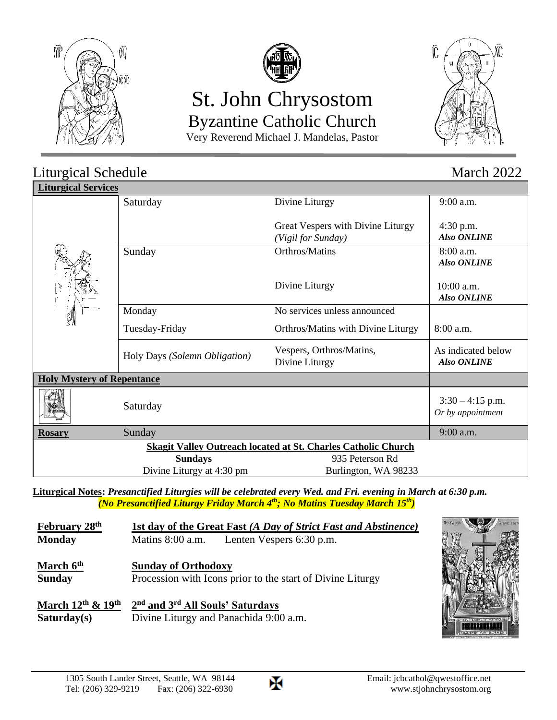



# St. John Chrysostom Byzantine Catholic Church

Very Reverend Michael J. Mandelas, Pastor



#### Liturgical Schedule March 2022 **Liturgical Services** Saturday Divine Liturgy Great Vespers with Divine Liturgy *(Vigil for Sunday)* 9:00 a.m. 4:30 p.m.  *Also ONLINE* Sunday Orthros/Matins Divine Liturgy 8:00 a.m.  *Also ONLINE* 10:00 a.m.  *Also ONLINE* Monday Tuesday-Friday No services unless announced Orthros/Matins with Divine Liturgy  $\| 8:00$  a.m. Holy Days *(Solemn Obligation)* Vespers, Orthros/Matins, Divine Liturgy As indicated below  *Also ONLINE* **Holy Mystery of Repentance**  $Saturday$   $3:30-4:15$  p.m. *Or by appointment* **Rosary** Sunday 9:00 a.m. **Skagit Valley Outreach located at St. Charles Catholic Church Sundays** 935 Peterson Rd Divine Liturgy at 4:30 pm Burlington, WA 98233

**Liturgical Notes:** *Presanctified Liturgies will be celebrated every Wed. and Fri. evening in March at 6:30 p.m. (No Presanctified Liturgy Friday March 4th; No Matins Tuesday March 15 th)*

| February 28 <sup>th</sup>                  | <b>1st day of the Great Fast (A Day of Strict Fast and Abstinence)</b>                   |                                           |  |
|--------------------------------------------|------------------------------------------------------------------------------------------|-------------------------------------------|--|
| <b>Monday</b>                              |                                                                                          | Matins 8:00 a.m. Lenten Vespers 6:30 p.m. |  |
| March 6 <sup>th</sup><br><b>Sunday</b>     | <b>Sunday of Orthodoxy</b><br>Procession with Icons prior to the start of Divine Liturgy |                                           |  |
| March $12^{th}$ & $19^{th}$<br>Saturday(s) | 2 <sup>nd</sup> and 3 <sup>rd</sup> All Souls' Saturdays                                 | Divine Liturgy and Panachida 9:00 a.m.    |  |



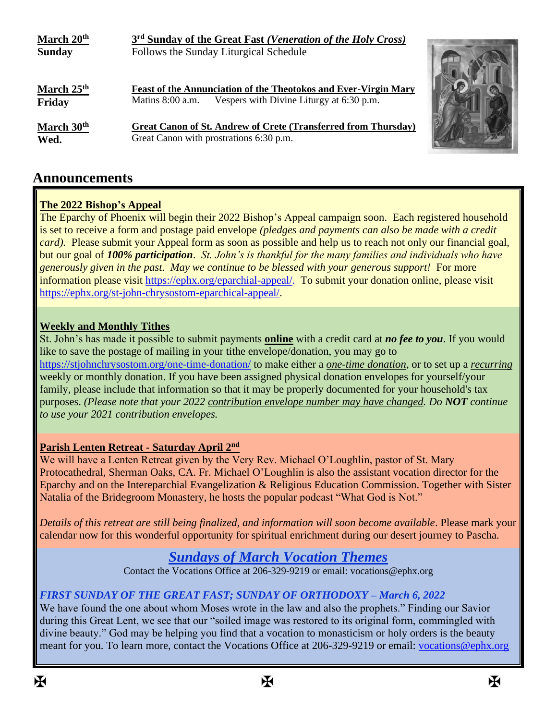| March 20 <sup>th</sup>           | 3 <sup>rd</sup> Sunday of the Great Fast (Veneration of the Holy Cross)                                                           |  |
|----------------------------------|-----------------------------------------------------------------------------------------------------------------------------------|--|
| <b>Sunday</b>                    | Follows the Sunday Liturgical Schedule                                                                                            |  |
| March 25 <sup>th</sup><br>Friday | Feast of the Annunciation of the Theotokos and Ever-Virgin Mary<br>Vespers with Divine Liturgy at 6:30 p.m.<br>Matins $8:00$ a.m. |  |
| March 30 <sup>th</sup><br>Wed.   | <b>Great Canon of St. Andrew of Crete (Transferred from Thursday)</b><br>Great Canon with prostrations 6:30 p.m.                  |  |

## **Announcements**

#### **The 2022 Bishop's Appeal**

The Eparchy of Phoenix will begin their 2022 Bishop's Appeal campaign soon. Each registered household is set to receive a form and postage paid envelope *(pledges and payments can also be made with a credit card*). Please submit your Appeal form as soon as possible and help us to reach not only our financial goal, but our goal of *100% participation*. *St. John's is thankful for the many families and individuals who have generously given in the past. May we continue to be blessed with your generous support!* For more information please visit [https://ephx.org/eparchial-appeal/.](https://ephx.org/eparchial-appeal/) To submit your donation online, please visit [https://ephx.org/st-john-chrysostom-eparchical-appeal/.](https://ephx.org/st-john-chrysostom-eparchical-appeal/)

#### **Weekly and Monthly Tithes**

St. John's has made it possible to submit payments **online** with a credit card at *no fee to you*. If you would like to save the postage of mailing in your tithe envelope/donation, you may go to <https://stjohnchrysostom.org/one-time-donation/> to make either a *one-time donation*, or to set up a *recurring* weekly or monthly donation. If you have been assigned physical donation envelopes for yourself/your family, please include that information so that it may be properly documented for your household's tax purposes. *(Please note that your 2022 contribution envelope number may have changed. Do NOT continue to use your 2021 contribution envelopes.*

#### **Parish Lenten Retreat - Saturday April 2nd**

We will have a Lenten Retreat given by the Very Rev. Michael O'Loughlin, pastor of St. Mary Protocathedral, Sherman Oaks, CA. Fr. Michael O'Loughlin is also the assistant vocation director for the Eparchy and on the Intereparchial Evangelization & Religious Education Commission. Together with Sister Natalia of the Bridegroom Monastery, he hosts the popular podcast "What God is Not."

*Details of this retreat are still being finalized, and information will soon become available*. Please mark your calendar now for this wonderful opportunity for spiritual enrichment during our desert journey to Pascha.

## *Sundays of March Vocation Themes*

Contact the Vocations Office at 206-329-9219 or email: vocations@ephx.org

#### *FIRST SUNDAY OF THE GREAT FAST; SUNDAY OF ORTHODOXY – March 6, 2022*

We have found the one about whom Moses wrote in the law and also the prophets." Finding our Savior during this Great Lent, we see that our "soiled image was restored to its original form, commingled with divine beauty." God may be helping you find that a vocation to monasticism or holy orders is the beauty meant for you. To learn more, contact the Vocations Office at 206-329-9219 or email: [vocations@ephx.org](mailto:vocations@ephx.org)